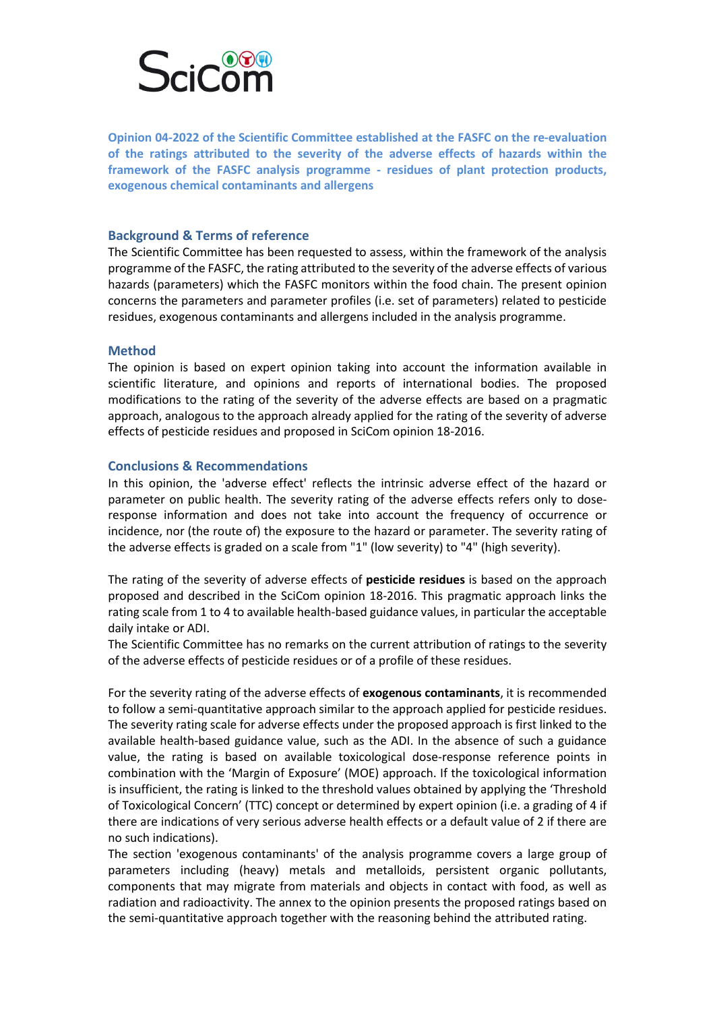

**Opinion 04-2022 of the Scientific Committee established at the FASFC on the re-evaluation of the ratings attributed to the severity of the adverse effects of hazards within the framework of the FASFC analysis programme - residues of plant protection products, exogenous chemical contaminants and allergens** 

## **Background & Terms of reference**

The Scientific Committee has been requested to assess, within the framework of the analysis programme of the FASFC, the rating attributed to the severity of the adverse effects of various hazards (parameters) which the FASFC monitors within the food chain. The present opinion concerns the parameters and parameter profiles (i.e. set of parameters) related to pesticide residues, exogenous contaminants and allergens included in the analysis programme.

## **Method**

The opinion is based on expert opinion taking into account the information available in scientific literature, and opinions and reports of international bodies. The proposed modifications to the rating of the severity of the adverse effects are based on a pragmatic approach, analogous to the approach already applied for the rating of the severity of adverse effects of pesticide residues and proposed in SciCom opinion 18-2016.

## **Conclusions & Recommendations**

In this opinion, the 'adverse effect' reflects the intrinsic adverse effect of the hazard or parameter on public health. The severity rating of the adverse effects refers only to doseresponse information and does not take into account the frequency of occurrence or incidence, nor (the route of) the exposure to the hazard or parameter. The severity rating of the adverse effects is graded on a scale from "1" (low severity) to "4" (high severity).

The rating of the severity of adverse effects of **pesticide residues** is based on the approach proposed and described in the SciCom opinion 18-2016. This pragmatic approach links the rating scale from 1 to 4 to available health-based guidance values, in particular the acceptable daily intake or ADI.

The Scientific Committee has no remarks on the current attribution of ratings to the severity of the adverse effects of pesticide residues or of a profile of these residues.

For the severity rating of the adverse effects of **exogenous contaminants**, it is recommended to follow a semi-quantitative approach similar to the approach applied for pesticide residues. The severity rating scale for adverse effects under the proposed approach is first linked to the available health-based guidance value, such as the ADI. In the absence of such a guidance value, the rating is based on available toxicological dose-response reference points in combination with the 'Margin of Exposure' (MOE) approach. If the toxicological information is insufficient, the rating is linked to the threshold values obtained by applying the 'Threshold of Toxicological Concern' (TTC) concept or determined by expert opinion (i.e. a grading of 4 if there are indications of very serious adverse health effects or a default value of 2 if there are no such indications).

The section 'exogenous contaminants' of the analysis programme covers a large group of parameters including (heavy) metals and metalloids, persistent organic pollutants, components that may migrate from materials and objects in contact with food, as well as radiation and radioactivity. The annex to the opinion presents the proposed ratings based on the semi-quantitative approach together with the reasoning behind the attributed rating.